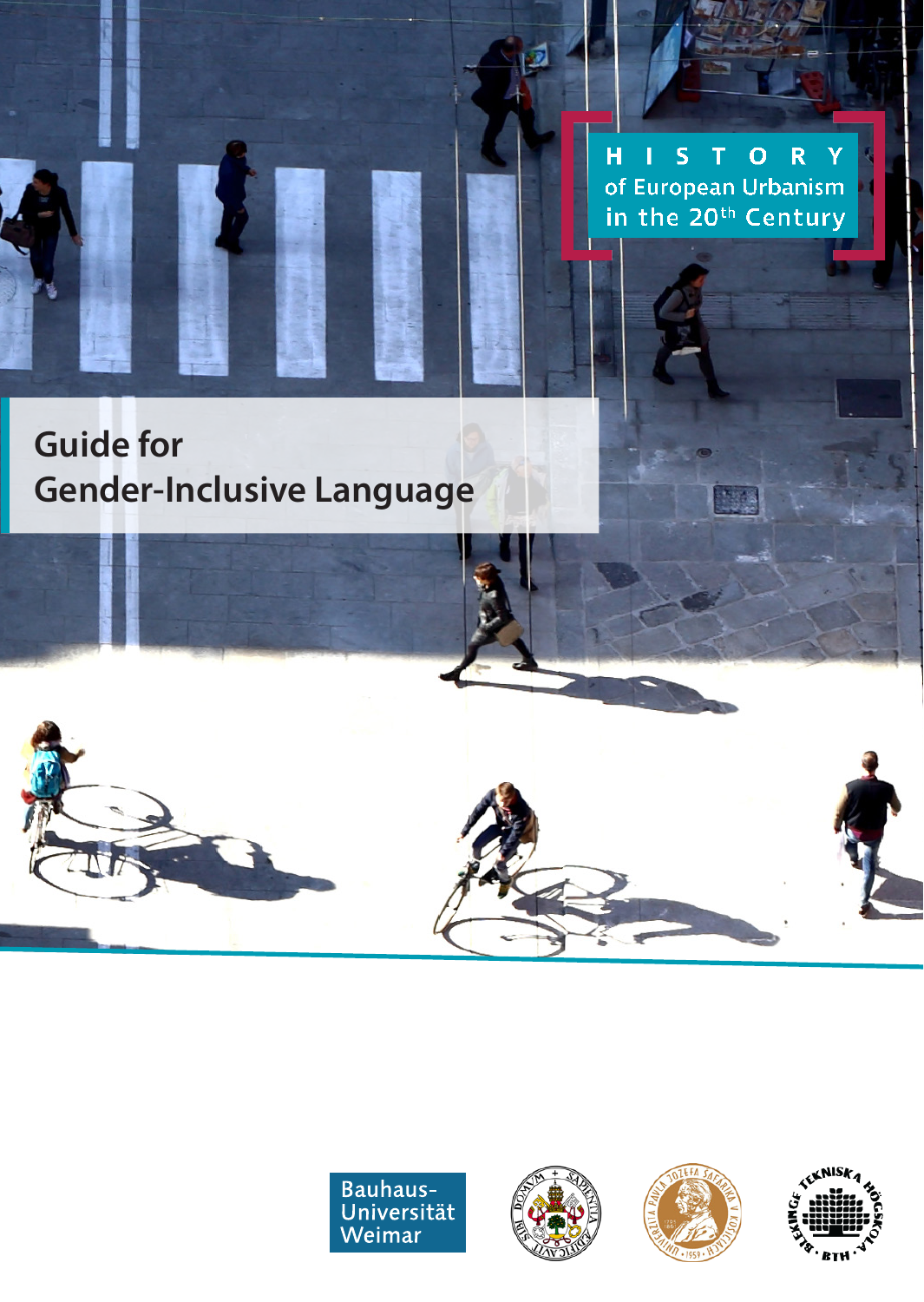O<sub>R</sub>  $\overline{H}$  $\mathbf{L}$  $S$  T Ÿ of European Urbanism in the 20<sup>th</sup> Century

# **Guide for Gender-Inclusive Language**







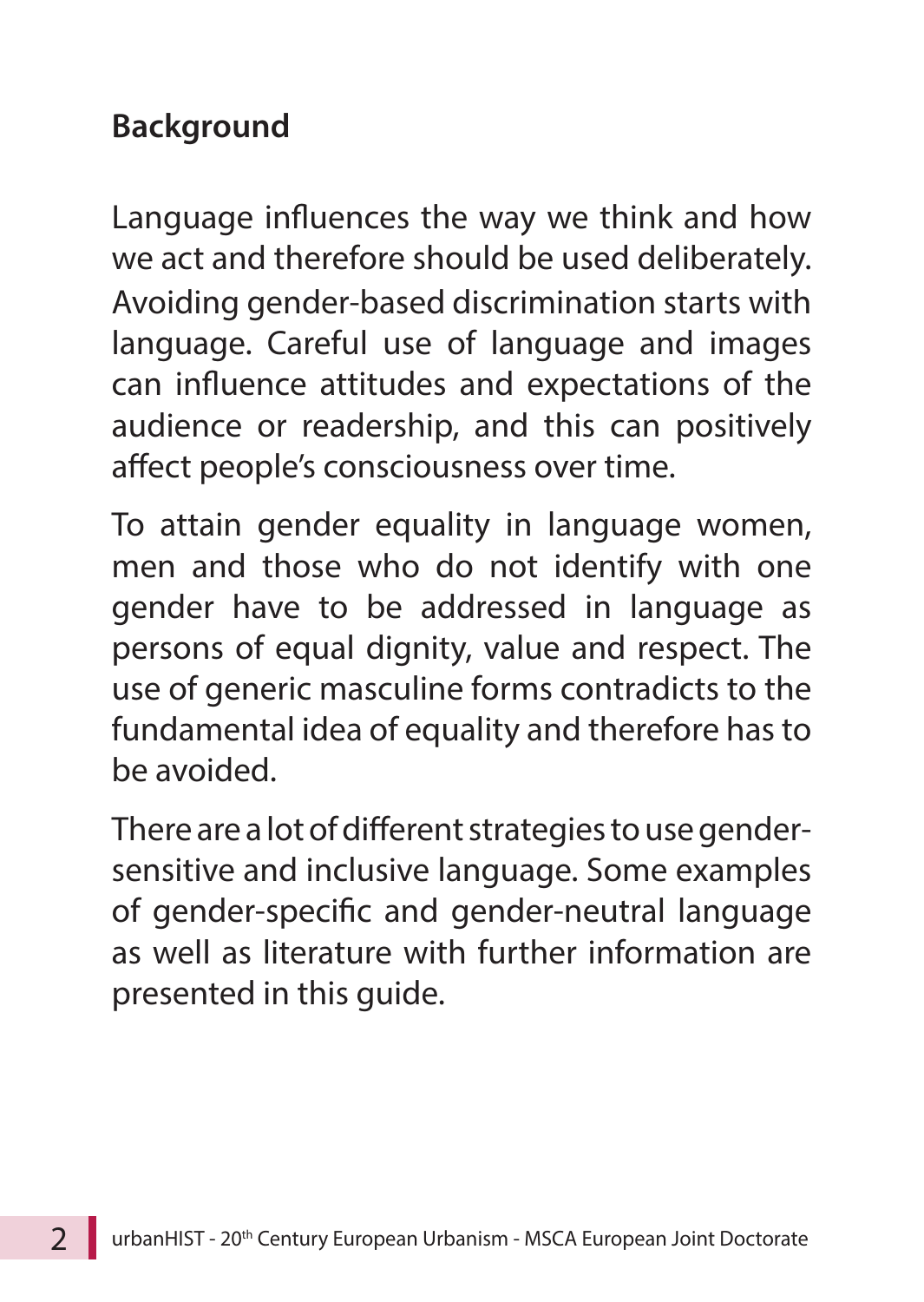#### **Background**

Language influences the way we think and how we act and therefore should be used deliberately. Avoiding gender-based discrimination starts with language. Careful use of language and images can influence attitudes and expectations of the audience or readership, and this can positively affect people's consciousness over time.

To attain gender equality in language women, men and those who do not identify with one gender have to be addressed in language as persons of equal dignity, value and respect. The use of generic masculine forms contradicts to the fundamental idea of equality and therefore has to be avoided.

There are a lot of different strategies to use gendersensitive and inclusive language. Some examples of gender-specific and gender-neutral language as well as literature with further information are presented in this guide.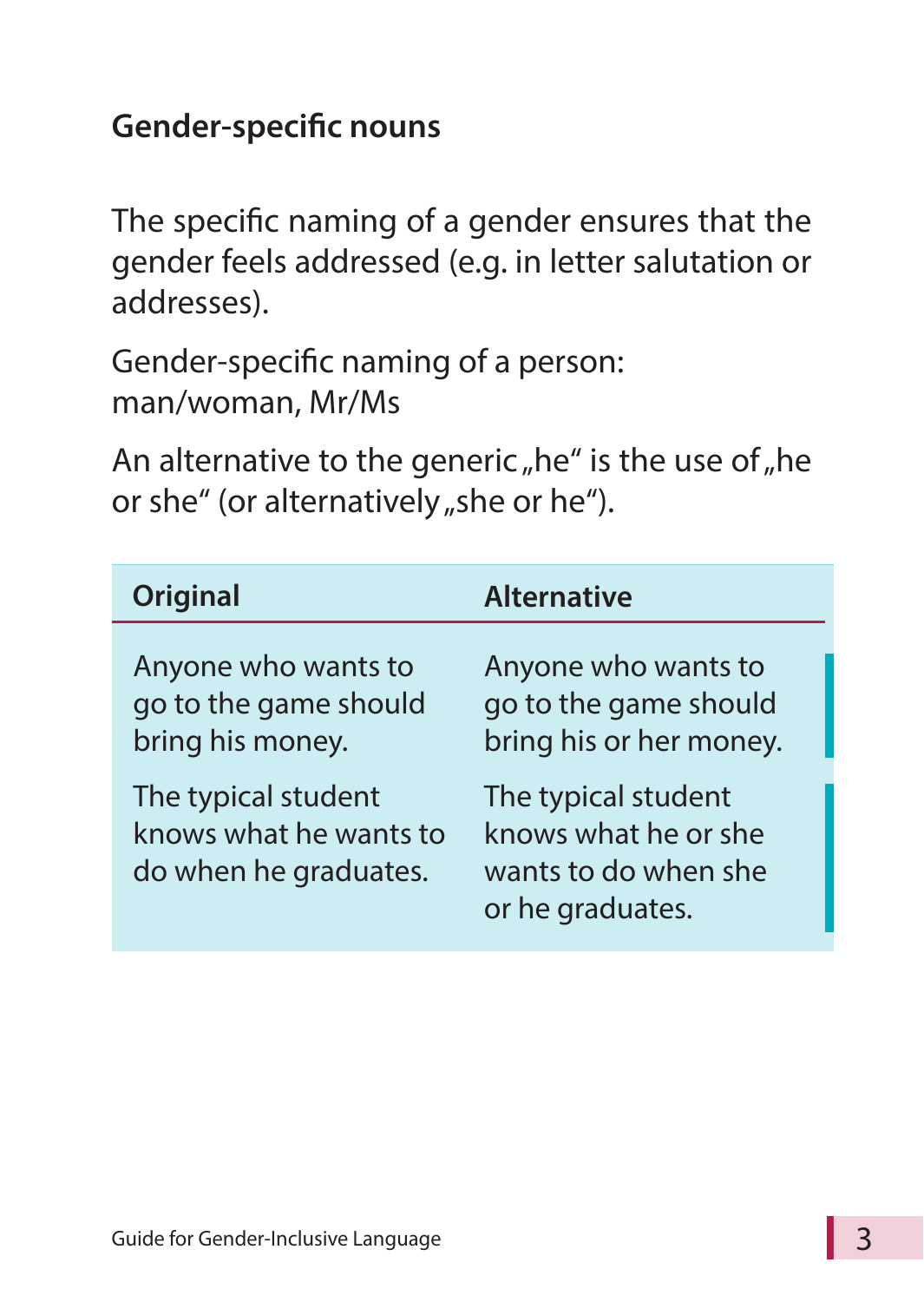### **Gender-specific nouns**

The specific naming of a gender ensures that the gender feels addressed (e.g. in letter salutation or addresses).

Gender-specific naming of a person: man/woman, Mr/Ms

An alternative to the generic "he" is the use of "he or she" (or alternatively "she or he").

| Original                                                               | <b>Alternative</b>                                                                      |
|------------------------------------------------------------------------|-----------------------------------------------------------------------------------------|
| Anyone who wants to<br>go to the game should<br>bring his money.       | Anyone who wants to<br>go to the game should<br>bring his or her money.                 |
| The typical student<br>knows what he wants to<br>do when he graduates. | The typical student<br>knows what he or she<br>wants to do when she<br>or he graduates. |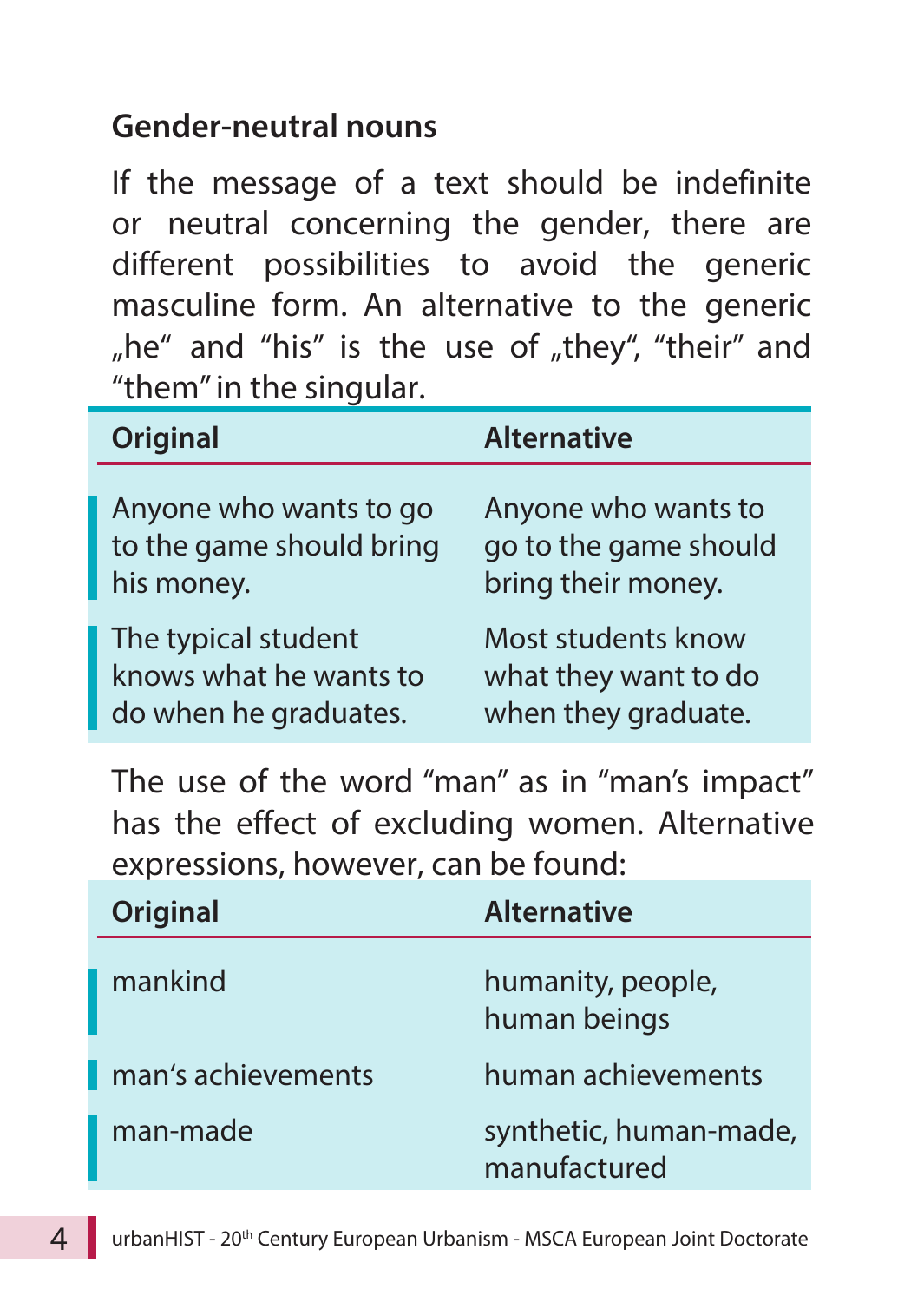#### **Gender-neutral nouns**

If the message of a text should be indefinite or neutral concerning the gender, there are different possibilities to avoid the generic masculine form. An alternative to the generic "he" and "his" is the use of "they", "their" and "them" in the singular.

| Original                 | <b>Alternative</b>    |
|--------------------------|-----------------------|
| Anyone who wants to go   | Anyone who wants to   |
| to the game should bring | go to the game should |
| his money.               | bring their money.    |
| The typical student      | Most students know    |
| knows what he wants to   | what they want to do  |
| do when he graduates.    | when they graduate.   |

The use of the word "man" as in "man's impact" has the effect of excluding women. Alternative expressions, however, can be found:

| Original           | <b>Alternative</b>                     |
|--------------------|----------------------------------------|
| mankind            | humanity, people,<br>human beings      |
| man's achievements | human achievements                     |
| man-made           | synthetic, human-made,<br>manufactured |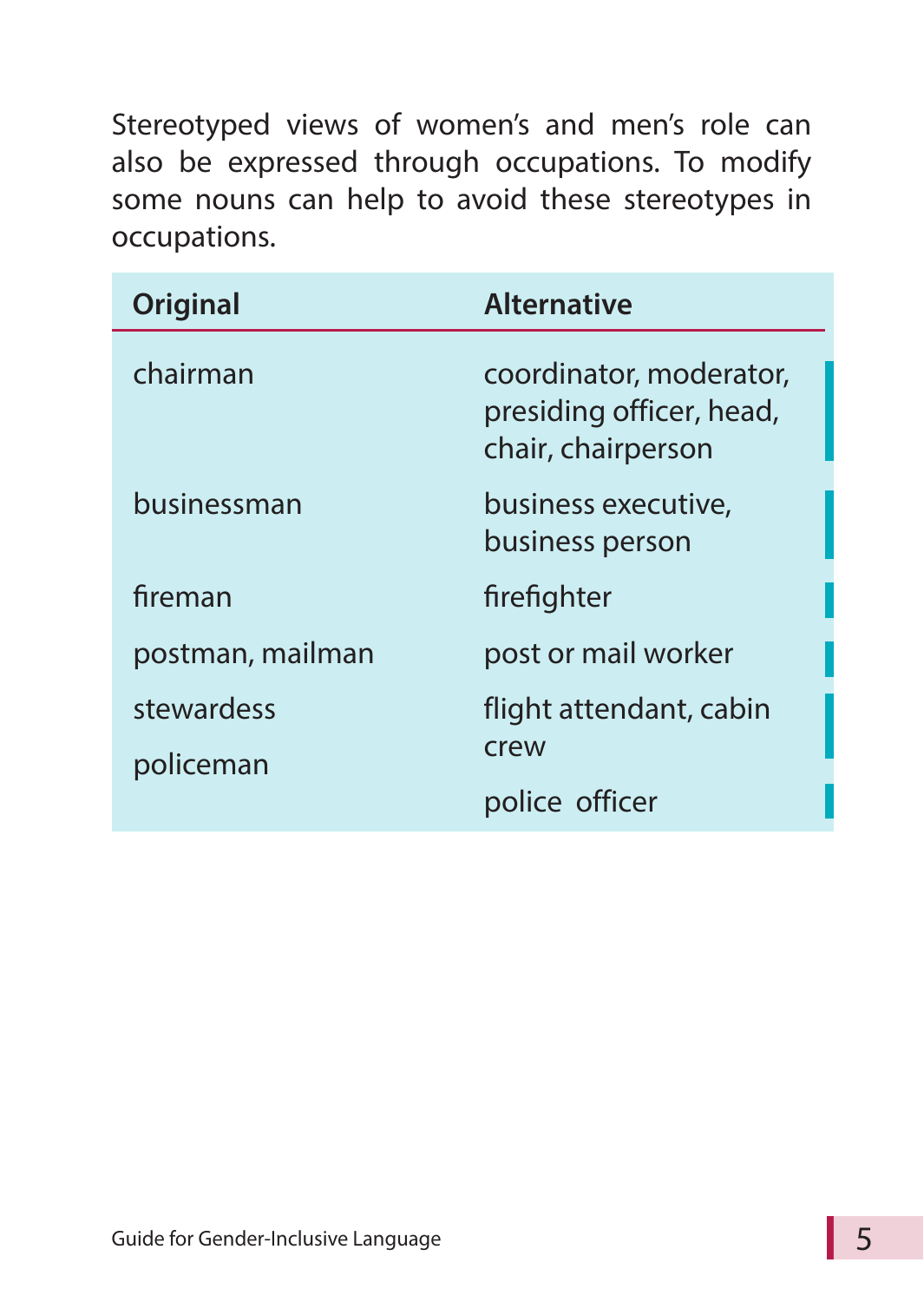Stereotyped views of women's and men's role can also be expressed through occupations. To modify some nouns can help to avoid these stereotypes in occupations.

| <b>Original</b>  | <b>Alternative</b>                                                        |
|------------------|---------------------------------------------------------------------------|
| chairman         | coordinator, moderator,<br>presiding officer, head,<br>chair, chairperson |
| businessman      | business executive,<br>business person                                    |
| fireman          | firefighter                                                               |
| postman, mailman | post or mail worker                                                       |
| stewardess       | flight attendant, cabin                                                   |
| policeman        | crew                                                                      |
|                  | police officer                                                            |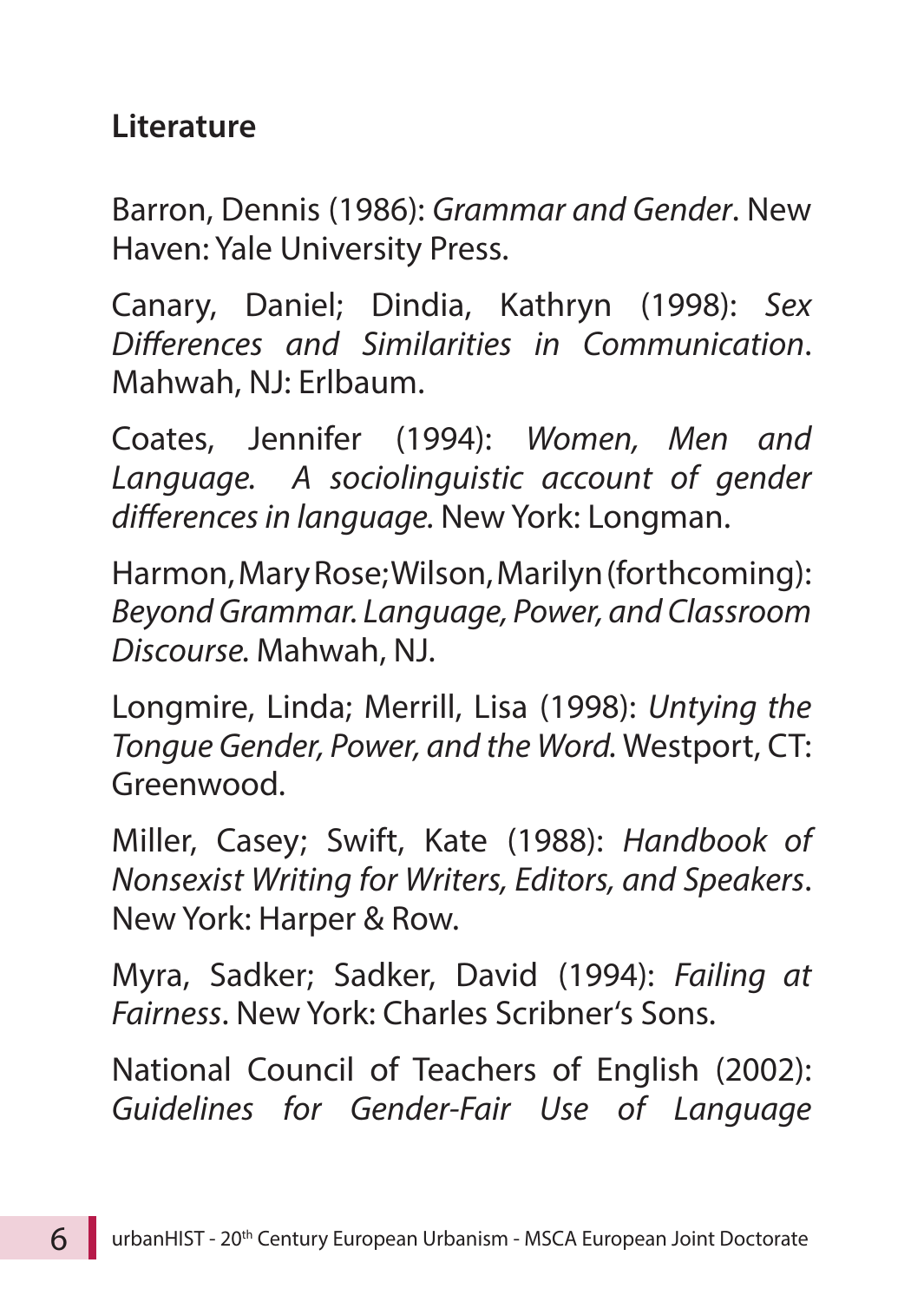#### **Literature**

Barron, Dennis (1986): *Grammar and Gender*. New Haven: Yale University Press.

Canary, Daniel; Dindia, Kathryn (1998): *Sex Differences and Similarities in Communication*. Mahwah, NJ: Erlbaum.

Coates, Jennifer (1994): *Women, Men and*  Language. A sociolinguistic account of gender *differences in language.* New York: Longman.

Harmon, Mary Rose; Wilson, Marilyn (forthcoming): *Beyond Grammar. Language, Power, and Classroom Discourse.* Mahwah, NJ.

Longmire, Linda; Merrill, Lisa (1998): *Untying the Tongue Gender, Power, and the Word.* Westport, CT: Greenwood.

Miller, Casey; Swift, Kate (1988): *Handbook of Nonsexist Writing for Writers, Editors, and Speakers*. New York: Harper & Row.

Myra, Sadker; Sadker, David (1994): *Failing at Fairness*. New York: Charles Scribner's Sons.

National Council of Teachers of English (2002): *Guidelines for Gender-Fair Use of Language*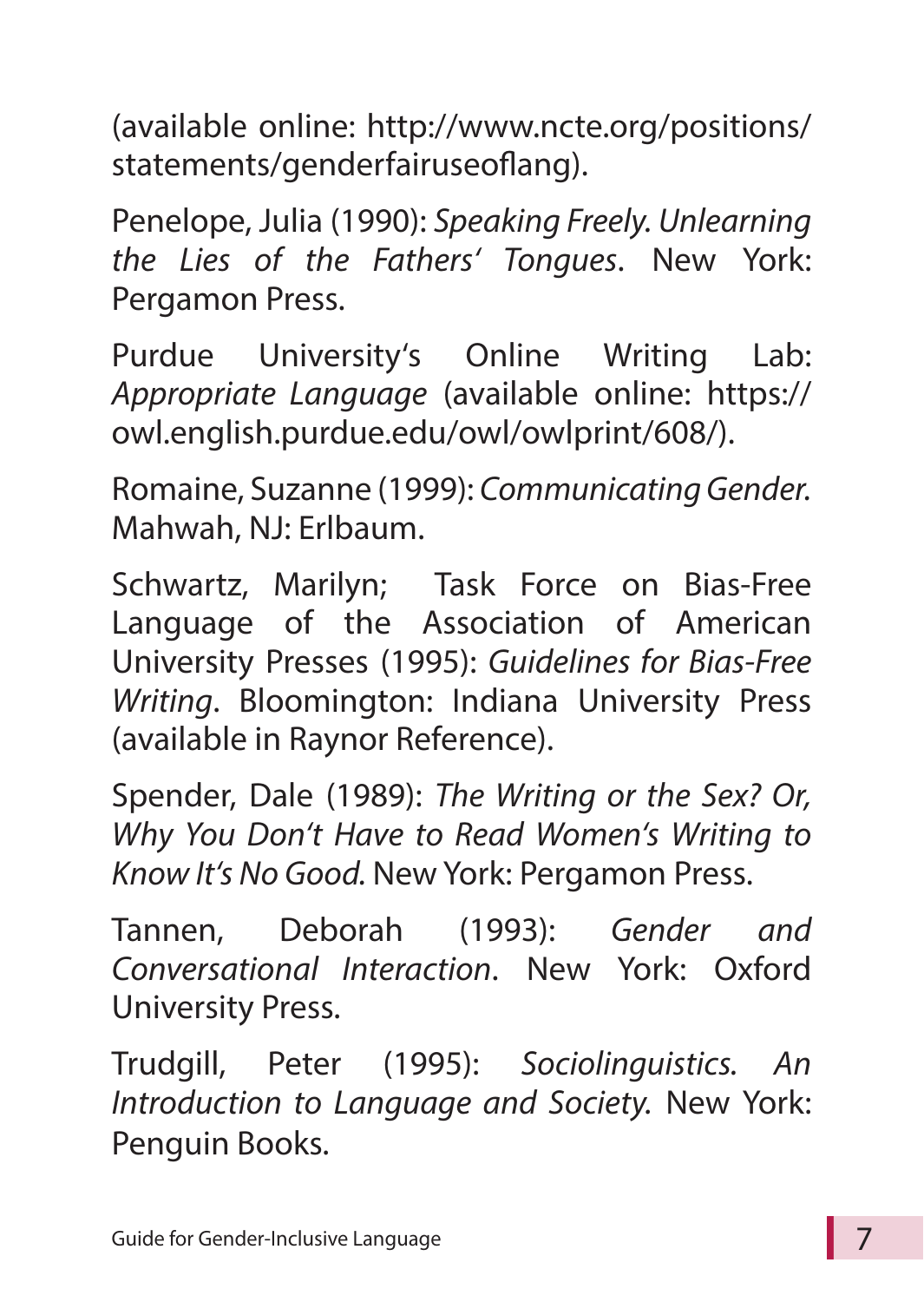(available online: http://www.ncte.org/positions/ statements/genderfairuseoflang).

Penelope, Julia (1990): *Speaking Freely. Unlearning the Lies of the Fathers' Tongues*. New York: Pergamon Press.

Purdue University's Online Writing Lab: *Appropriate Language* (available online: https:// owl.english.purdue.edu/owl/owlprint/608/).

Romaine, Suzanne (1999): *Communicating Gender.* Mahwah, NJ: Erlbaum.

Schwartz, Marilyn; Task Force on Bias-Free Language of the Association of American University Presses (1995): *Guidelines for Bias-Free Writing*. Bloomington: Indiana University Press (available in Raynor Reference).

Spender, Dale (1989): *The Writing or the Sex? Or, Why You Don't Have to Read Women's Writing to Know It's No Good.* New York: Pergamon Press.

Tannen, Deborah (1993): *Gender and Conversational Interaction*. New York: Oxford University Press.

Trudgill, Peter (1995): *Sociolinguistics. An Introduction to Language and Society.* New York: Penguin Books.